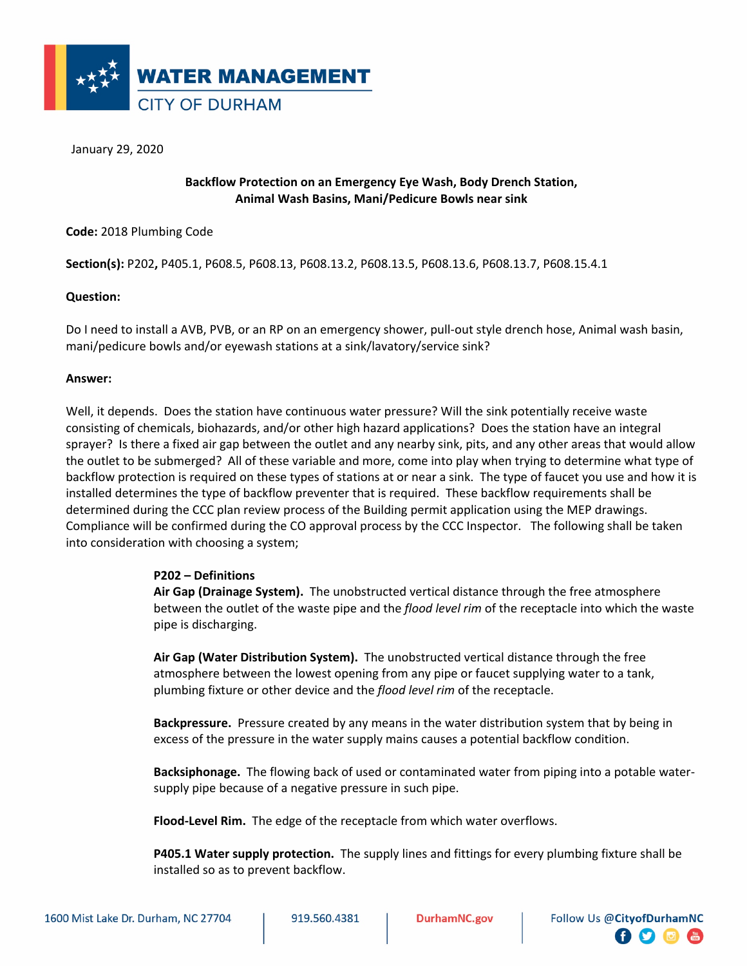

January 29, 2020

## **Backflow Protection on an Emergency Eye Wash, Body Drench Station, Animal Wash Basins, Mani/Pedicure Bowls near sink**

**Code:** 2018 Plumbing Code

**Section(s):** P202**,** P405.1, P608.5, P608.13, P608.13.2, P608.13.5, P608.13.6, P608.13.7, P608.15.4.1

## **Question:**

Do I need to install a AVB, PVB, or an RP on an emergency shower, pull-out style drench hose, Animal wash basin, mani/pedicure bowls and/or eyewash stations at a sink/lavatory/service sink?

## **Answer:**

Well, it depends. Does the station have continuous water pressure? Will the sink potentially receive waste consisting of chemicals, biohazards, and/or other high hazard applications? Does the station have an integral sprayer? Is there a fixed air gap between the outlet and any nearby sink, pits, and any other areas that would allow the outlet to be submerged? All of these variable and more, come into play when trying to determine what type of backflow protection is required on these types of stations at or near a sink. The type of faucet you use and how it is installed determines the type of backflow preventer that is required. These backflow requirements shall be determined during the CCC plan review process of the Building permit application using the MEP drawings. Compliance will be confirmed during the CO approval process by the CCC Inspector. The following shall be taken into consideration with choosing a system;

## **P202 – Definitions**

**Air Gap (Drainage System).** The unobstructed vertical distance through the free atmosphere between the outlet of the waste pipe and the *flood level rim* of the receptacle into which the waste pipe is discharging.

**Air Gap (Water Distribution System).** The unobstructed vertical distance through the free atmosphere between the lowest opening from any pipe or faucet supplying water to a tank, plumbing fixture or other device and the *flood level rim* of the receptacle.

**Backpressure.** Pressure created by any means in the water distribution system that by being in excess of the pressure in the water supply mains causes a potential backflow condition.

**Backsiphonage.** The flowing back of used or contaminated water from piping into a potable watersupply pipe because of a negative pressure in such pipe.

**Flood-Level Rim.** The edge of the receptacle from which water overflows.

**P405.1 Water supply protection.** The supply lines and fittings for every plumbing fixture shall be installed so as to prevent backflow.

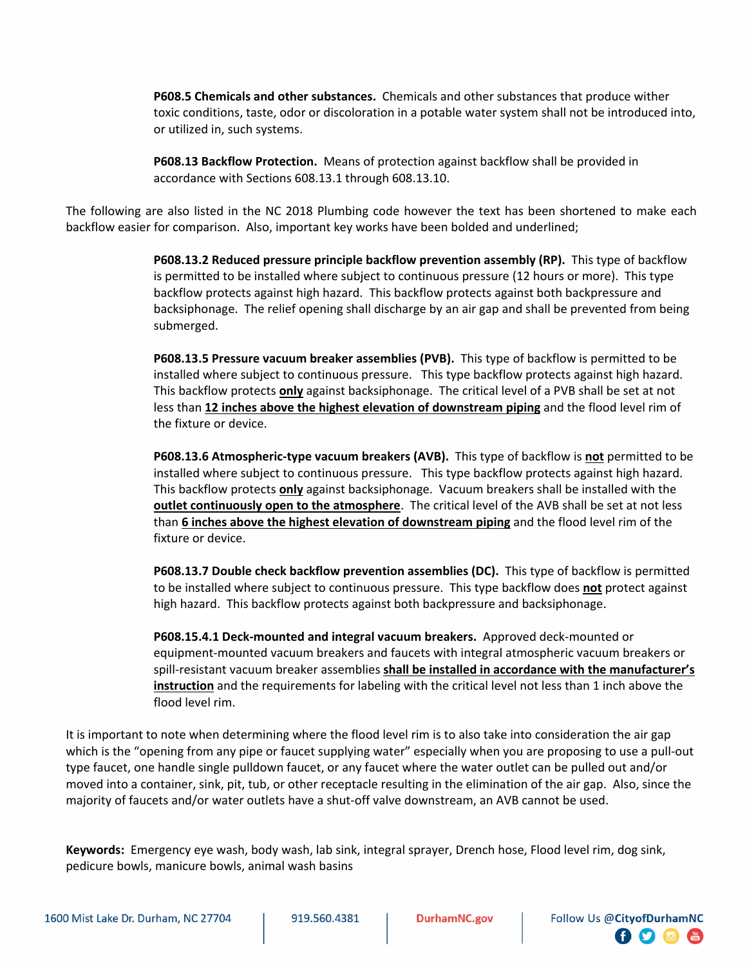**P608.5 Chemicals and other substances.** Chemicals and other substances that produce wither toxic conditions, taste, odor or discoloration in a potable water system shall not be introduced into, or utilized in, such systems.

**P608.13 Backflow Protection.** Means of protection against backflow shall be provided in accordance with Sections 608.13.1 through 608.13.10.

The following are also listed in the NC 2018 Plumbing code however the text has been shortened to make each backflow easier for comparison. Also, important key works have been bolded and underlined;

> **P608.13.2 Reduced pressure principle backflow prevention assembly (RP).** This type of backflow is permitted to be installed where subject to continuous pressure (12 hours or more). This type backflow protects against high hazard. This backflow protects against both backpressure and backsiphonage. The relief opening shall discharge by an air gap and shall be prevented from being submerged.

**P608.13.5 Pressure vacuum breaker assemblies (PVB).** This type of backflow is permitted to be installed where subject to continuous pressure. This type backflow protects against high hazard. This backflow protects **only** against backsiphonage. The critical level of a PVB shall be set at not less than **12 inches above the highest elevation of downstream piping** and the flood level rim of the fixture or device.

**P608.13.6 Atmospheric-type vacuum breakers (AVB).** This type of backflow is **not** permitted to be installed where subject to continuous pressure. This type backflow protects against high hazard. This backflow protects **only** against backsiphonage. Vacuum breakers shall be installed with the **outlet continuously open to the atmosphere**. The critical level of the AVB shall be set at not less than **6 inches above the highest elevation of downstream piping** and the flood level rim of the fixture or device.

**P608.13.7 Double check backflow prevention assemblies (DC).** This type of backflow is permitted to be installed where subject to continuous pressure. This type backflow does **not** protect against high hazard. This backflow protects against both backpressure and backsiphonage.

**P608.15.4.1 Deck-mounted and integral vacuum breakers.** Approved deck-mounted or equipment-mounted vacuum breakers and faucets with integral atmospheric vacuum breakers or spill-resistant vacuum breaker assemblies **shall be installed in accordance with the manufacturer's instruction** and the requirements for labeling with the critical level not less than 1 inch above the flood level rim.

It is important to note when determining where the flood level rim is to also take into consideration the air gap which is the "opening from any pipe or faucet supplying water" especially when you are proposing to use a pull-out type faucet, one handle single pulldown faucet, or any faucet where the water outlet can be pulled out and/or moved into a container, sink, pit, tub, or other receptacle resulting in the elimination of the air gap. Also, since the majority of faucets and/or water outlets have a shut-off valve downstream, an AVB cannot be used.

**Keywords:** Emergency eye wash, body wash, lab sink, integral sprayer, Drench hose, Flood level rim, dog sink, pedicure bowls, manicure bowls, animal wash basins